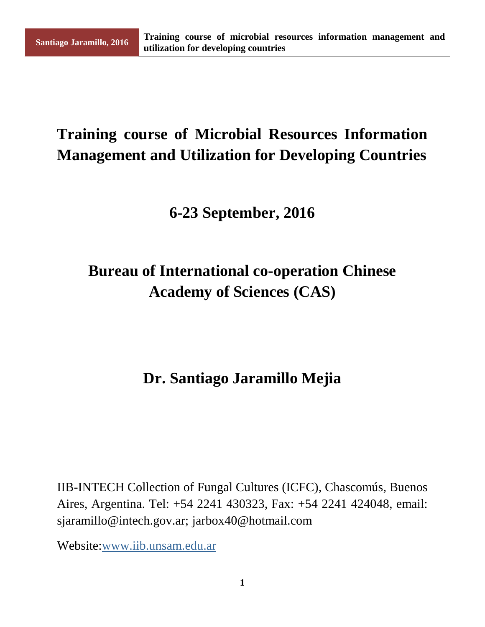# **Training course of Microbial Resources Information Management and Utilization for Developing Countries**

#### **6-23 September, 2016**

# **Bureau of International co-operation Chinese Academy of Sciences (CAS)**

#### **Dr. Santiago Jaramillo Mejia**

IIB-INTECH Collection of Fungal Cultures (ICFC), Chascomús, Buenos Aires, Argentina. Tel: +54 2241 430323, Fax: +54 2241 424048, email: sjaramillo@intech.gov.ar; jarbox40@hotmail.com

Website[:www.iib.unsam.edu.ar](http://www.iib.unsam.edu.ar/)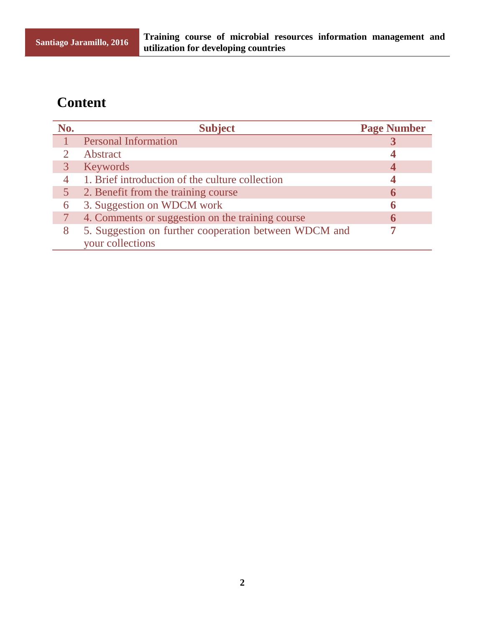#### **Content**

| No. | <b>Subject</b>                                        | <b>Page Number</b> |
|-----|-------------------------------------------------------|--------------------|
|     | <b>Personal Information</b>                           |                    |
|     | Abstract                                              |                    |
|     | Keywords                                              |                    |
|     | 1. Brief introduction of the culture collection       |                    |
|     | 2. Benefit from the training course                   |                    |
| 6   | 3. Suggestion on WDCM work                            |                    |
|     | 4. Comments or suggestion on the training course      |                    |
| 8   | 5. Suggestion on further cooperation between WDCM and |                    |
|     | your collections                                      |                    |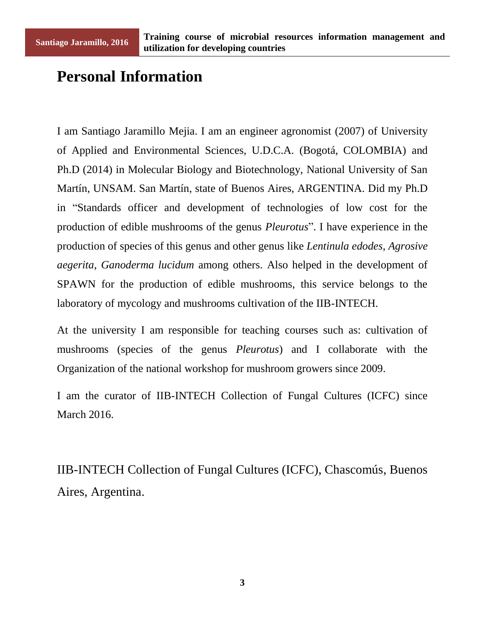### **Personal Information**

I am Santiago Jaramillo Mejia. I am an engineer agronomist (2007) of University of Applied and Environmental Sciences, U.D.C.A. (Bogotá, COLOMBIA) and Ph.D (2014) in Molecular Biology and Biotechnology, National University of San Mart n, UNSAM. San Mart n, state of Buenos Aires, ARGENTINA. Did my Ph.D in "Standards officer and development of technologies of low cost for the production of edible mushrooms of the genus *Pleurotus*". I have experience in the production of species of this genus and other genus like *Lentinula edodes*, *Agrosive aegerita*, *Ganoderma lucidum* among others. Also helped in the development of SPAWN for the production of edible mushrooms, this service belongs to the laboratory of mycology and mushrooms cultivation of the IIB-INTECH.

At the university I am responsible for teaching courses such as: cultivation of mushrooms (species of the genus *Pleurotus*) and I collaborate with the Organization of the national workshop for mushroom growers since 2009.

I am the curator of IIB-INTECH Collection of Fungal Cultures (ICFC) since March 2016.

IIB-INTECH Collection of Fungal Cultures (ICFC), Chascomús, Buenos Aires, Argentina.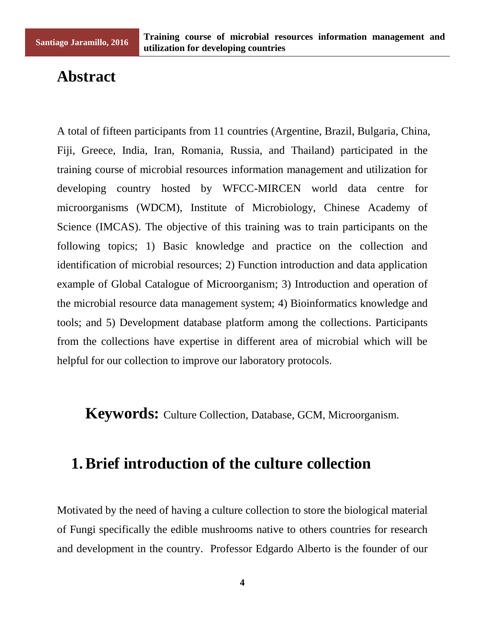#### **Abstract**

A total of fifteen participants from 11 countries (Argentine, Brazil, Bulgaria, China, Fiji, Greece, India, Iran, Romania, Russia, and Thailand) participated in the training course of microbial resources information management and utilization for developing country hosted by WFCC-MIRCEN world data centre for microorganisms (WDCM), Institute of Microbiology, Chinese Academy of Science (IMCAS). The objective of this training was to train participants on the following topics; 1) Basic knowledge and practice on the collection and identification of microbial resources; 2) Function introduction and data application example of Global Catalogue of Microorganism; 3) Introduction and operation of the microbial resource data management system; 4) Bioinformatics knowledge and tools; and 5) Development database platform among the collections. Participants from the collections have expertise in different area of microbial which will be helpful for our collection to improve our laboratory protocols.

**Keywords:** Culture Collection, Database, GCM, Microorganism.

#### **1.Brief introduction of the culture collection**

Motivated by the need of having a culture collection to store the biological material of Fungi specifically the edible mushrooms native to others countries for research and development in the country. Professor Edgardo Alberto is the founder of our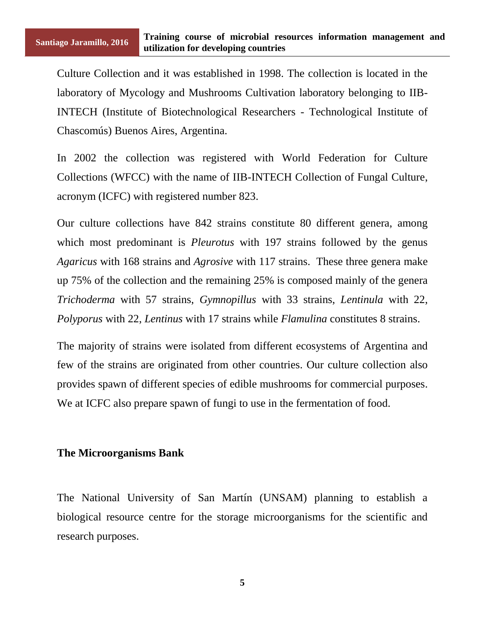Culture Collection and it was established in 1998. The collection is located in the laboratory of Mycology and Mushrooms Cultivation laboratory belonging to IIB-INTECH (Institute of Biotechnological Researchers - Technological Institute of Chascomús) Buenos Aires, Argentina.

In 2002 the collection was registered with World Federation for Culture Collections (WFCC) with the name of IIB-INTECH Collection of Fungal Culture, acronym (ICFC) with registered number 823.

Our culture collections have 842 strains constitute 80 different genera, among which most predominant is *Pleurotus* with 197 strains followed by the genus *Agaricus* with 168 strains and *Agrosive* with 117 strains. These three genera make up 75% of the collection and the remaining 25% is composed mainly of the genera *Trichoderma* with 57 strains, *Gymnopillus* with 33 strains, *Lentinula* with 22, *Polyporus* with 22, *Lentinus* with 17 strains while *Flamulina* constitutes 8 strains.

The majority of strains were isolated from different ecosystems of Argentina and few of the strains are originated from other countries. Our culture collection also provides spawn of different species of edible mushrooms for commercial purposes. We at ICFC also prepare spawn of fungi to use in the fermentation of food.

#### **The Microorganisms Bank**

The National University of San Mart n (UNSAM) planning to establish a biological resource centre for the storage microorganisms for the scientific and research purposes.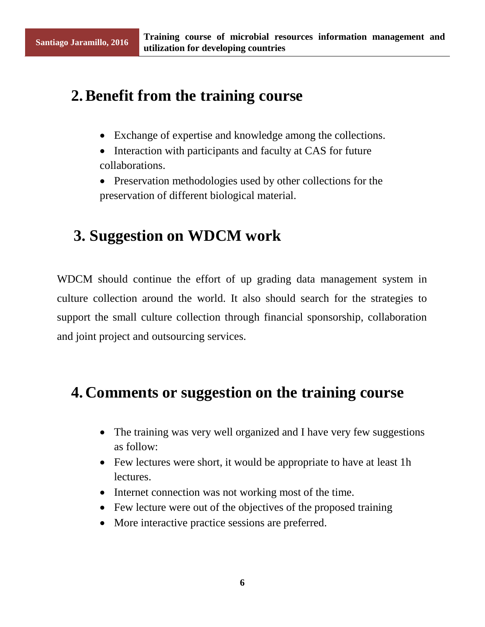### **2.Benefit from the training course**

- Exchange of expertise and knowledge among the collections.
- Interaction with participants and faculty at CAS for future collaborations.
- Preservation methodologies used by other collections for the preservation of different biological material.

## **3. Suggestion on WDCM work**

WDCM should continue the effort of up grading data management system in culture collection around the world. It also should search for the strategies to support the small culture collection through financial sponsorship, collaboration and joint project and outsourcing services.

## **4. Comments or suggestion on the training course**

- The training was very well organized and I have very few suggestions as follow:
- Few lectures were short, it would be appropriate to have at least 1h lectures.
- Internet connection was not working most of the time.
- Few lecture were out of the objectives of the proposed training
- More interactive practice sessions are preferred.